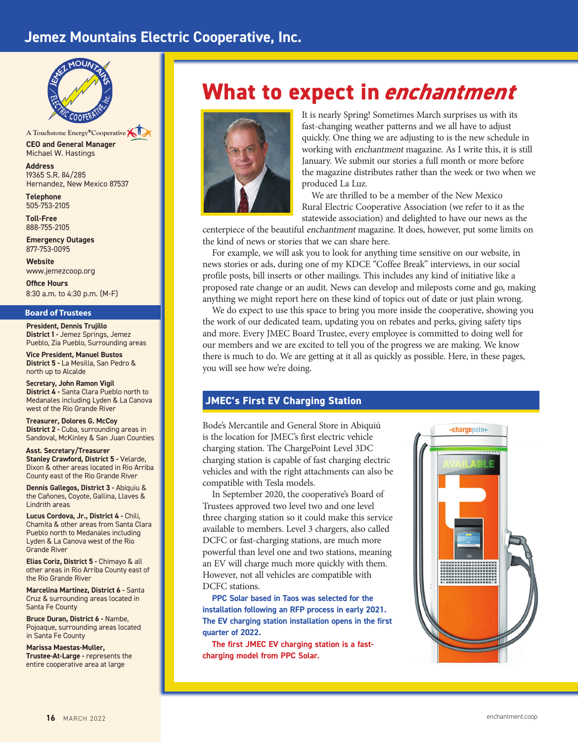## **Jemez Mountains Electric Cooperative, Inc.**



**CEO and General Manager** Michael W. Hastings A Touchstone Energy®Cooperative

**Address** 19365 S.R. 84/285 Hernandez, New Mexico 87537

**Telephone** 505-753-2105

**Toll-Free**  888-755-2105

**Emergency Outages** 877-753-0095

**Website** www.jemezcoop.org

**Office Hours** 8:30 a.m. to 4:30 p.m. (M-F)

#### **Board of Trustees**

**President, Dennis Trujillo District 1 -** Jemez Springs, Jemez Pueblo, Zia Pueblo, Surrounding areas

**Vice President, Manuel Bustos District 5 -** La Mesilla, San Pedro & north up to Alcalde

**Secretary, John Ramon Vigil District 4 -** Santa Clara Pueblo north to Medanales including Lyden & La Canova west of the Rio Grande River

**Treasurer, Dolores G. McCoy District 2 - Cuba, surrounding areas in** Sandoval, McKinley & San Juan Counties

**Asst. Secretary/Treasurer Stanley Crawford, District 5 - Velarde,** Dixon & other areas located in Rio Arriba County east of the Rio Grande River

**Dennis Gallegos, District 3 -** Abiquiu & the Cañones, Coyote, Gallina, Llaves & Lindrith areas

**Lucus Cordova, Jr., District 4 -** Chili, Chamita & other areas from Santa Clara Pueblo north to Medanales including Lyden & La Canova west of the Rio Grande River

**Elias Coriz, District 5 -** Chimayo & all other areas in Rio Arriba County east of the Rio Grande River

**Marcelina Martinez, District 6 -** Santa Cruz & surrounding areas located in Santa Fe County

**Bruce Duran, District 6 -** Nambe, Pojoaque, surrounding areas located in Santa Fe County

**Marissa Maestas-Muller, Trustee-At-Large - represents the** entire cooperative area at large

# **What to expect in** *enchantment*



It is nearly Spring! Sometimes March surprises us with its fast-changing weather patterns and we all have to adjust quickly. One thing we are adjusting to is the new schedule in working with enchantment magazine. As I write this, it is still January. We submit our stories a full month or more before the magazine distributes rather than the week or two when we produced La Luz.

We are thrilled to be a member of the New Mexico Rural Electric Cooperative Association (we refer to it as the statewide association) and delighted to have our news as the

centerpiece of the beautiful enchantment magazine. It does, however, put some limits on the kind of news or stories that we can share here.

For example, we will ask you to look for anything time sensitive on our website, in news stories or ads, during one of my KDCE "Coffee Break" interviews, in our social profile posts, bill inserts or other mailings. This includes any kind of initiative like a proposed rate change or an audit. News can develop and mileposts come and go, making anything we might report here on these kind of topics out of date or just plain wrong.

We do expect to use this space to bring you more inside the cooperative, showing you the work of our dedicated team, updating you on rebates and perks, giving safety tips and more. Every JMEC Board Trustee, every employee is committed to doing well for our members and we are excited to tell you of the progress we are making. We know there is much to do. We are getting at it all as quickly as possible. Here, in these pages, you will see how we're doing.

#### **JMEC's First EV Charging Station**

Bode's Mercantile and General Store in Abiquiú is the location for JMEC's first electric vehicle charging station. The ChargePoint Level 3DC charging station is capable of fast charging electric vehicles and with the right attachments can also be compatible with Tesla models.

In September 2020, the cooperative's Board of Trustees approved two level two and one level three charging station so it could make this service available to members. Level 3 chargers, also called DCFC or fast-charging stations, are much more powerful than level one and two stations, meaning an EV will charge much more quickly with them. However, not all vehicles are compatible with DCFC stations.

**PPC Solar based in Taos was selected for the installation following an RFP process in early 2021. The EV charging station installation opens in the first quarter of 2022.** 

**The first JMEC EV charging station is a fastcharging model from PPC Solar.**